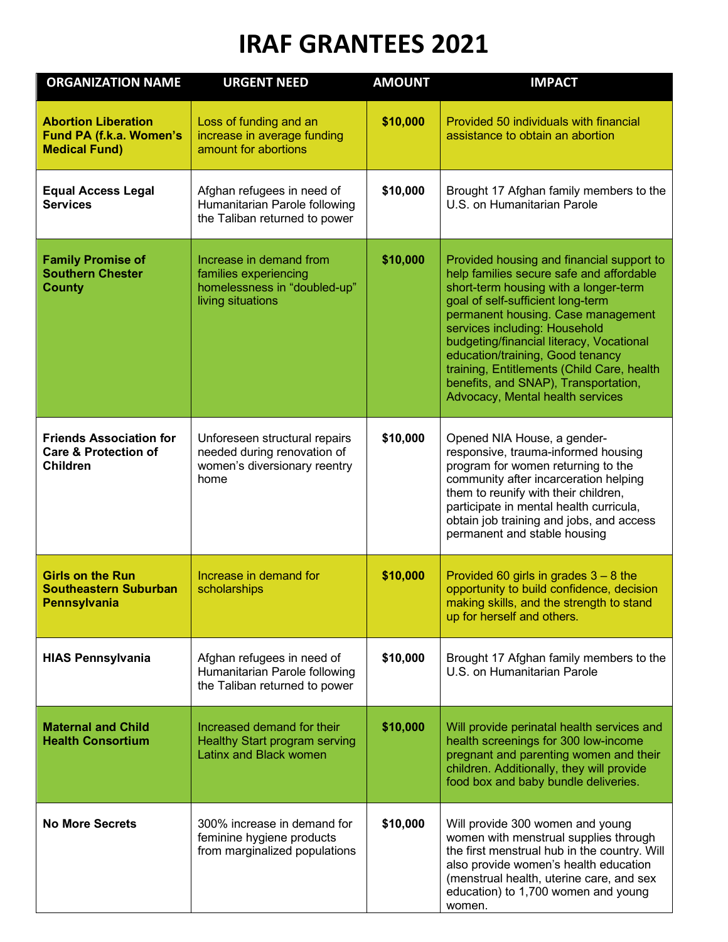## **IRAF GRANTEES 2021**

| <b>ORGANIZATION NAME</b>                                                             | <b>URGENT NEED</b>                                                                                    | <b>AMOUNT</b> | <b>IMPACT</b>                                                                                                                                                                                                                                                                                                                                                                                                                                        |
|--------------------------------------------------------------------------------------|-------------------------------------------------------------------------------------------------------|---------------|------------------------------------------------------------------------------------------------------------------------------------------------------------------------------------------------------------------------------------------------------------------------------------------------------------------------------------------------------------------------------------------------------------------------------------------------------|
| <b>Abortion Liberation</b><br>Fund PA (f.k.a. Women's<br><b>Medical Fund)</b>        | Loss of funding and an<br>increase in average funding<br>amount for abortions                         | \$10,000      | Provided 50 individuals with financial<br>assistance to obtain an abortion                                                                                                                                                                                                                                                                                                                                                                           |
| <b>Equal Access Legal</b><br><b>Services</b>                                         | Afghan refugees in need of<br>Humanitarian Parole following<br>the Taliban returned to power          | \$10,000      | Brought 17 Afghan family members to the<br>U.S. on Humanitarian Parole                                                                                                                                                                                                                                                                                                                                                                               |
| <b>Family Promise of</b><br><b>Southern Chester</b><br><b>County</b>                 | Increase in demand from<br>families experiencing<br>homelessness in "doubled-up"<br>living situations | \$10,000      | Provided housing and financial support to<br>help families secure safe and affordable<br>short-term housing with a longer-term<br>goal of self-sufficient long-term<br>permanent housing. Case management<br>services including: Household<br>budgeting/financial literacy, Vocational<br>education/training, Good tenancy<br>training, Entitlements (Child Care, health<br>benefits, and SNAP), Transportation,<br>Advocacy, Mental health services |
| <b>Friends Association for</b><br><b>Care &amp; Protection of</b><br><b>Children</b> | Unforeseen structural repairs<br>needed during renovation of<br>women's diversionary reentry<br>home  | \$10,000      | Opened NIA House, a gender-<br>responsive, trauma-informed housing<br>program for women returning to the<br>community after incarceration helping<br>them to reunify with their children,<br>participate in mental health curricula,<br>obtain job training and jobs, and access<br>permanent and stable housing                                                                                                                                     |
| <b>Girls on the Run</b><br><b>Southeastern Suburban</b><br><b>Pennsylvania</b>       | Increase in demand for<br>scholarships                                                                | \$10,000      | Provided 60 girls in grades $3 - 8$ the<br>opportunity to build confidence, decision<br>making skills, and the strength to stand<br>up for herself and others.                                                                                                                                                                                                                                                                                       |
| <b>HIAS Pennsylvania</b>                                                             | Afghan refugees in need of<br>Humanitarian Parole following<br>the Taliban returned to power          | \$10,000      | Brought 17 Afghan family members to the<br>U.S. on Humanitarian Parole                                                                                                                                                                                                                                                                                                                                                                               |
| <b>Maternal and Child</b><br><b>Health Consortium</b>                                | Increased demand for their<br><b>Healthy Start program serving</b><br>Latinx and Black women          | \$10,000      | Will provide perinatal health services and<br>health screenings for 300 low-income<br>pregnant and parenting women and their<br>children. Additionally, they will provide<br>food box and baby bundle deliveries.                                                                                                                                                                                                                                    |
| <b>No More Secrets</b>                                                               | 300% increase in demand for<br>feminine hygiene products<br>from marginalized populations             | \$10,000      | Will provide 300 women and young<br>women with menstrual supplies through<br>the first menstrual hub in the country. Will<br>also provide women's health education<br>(menstrual health, uterine care, and sex<br>education) to 1,700 women and young<br>women.                                                                                                                                                                                      |